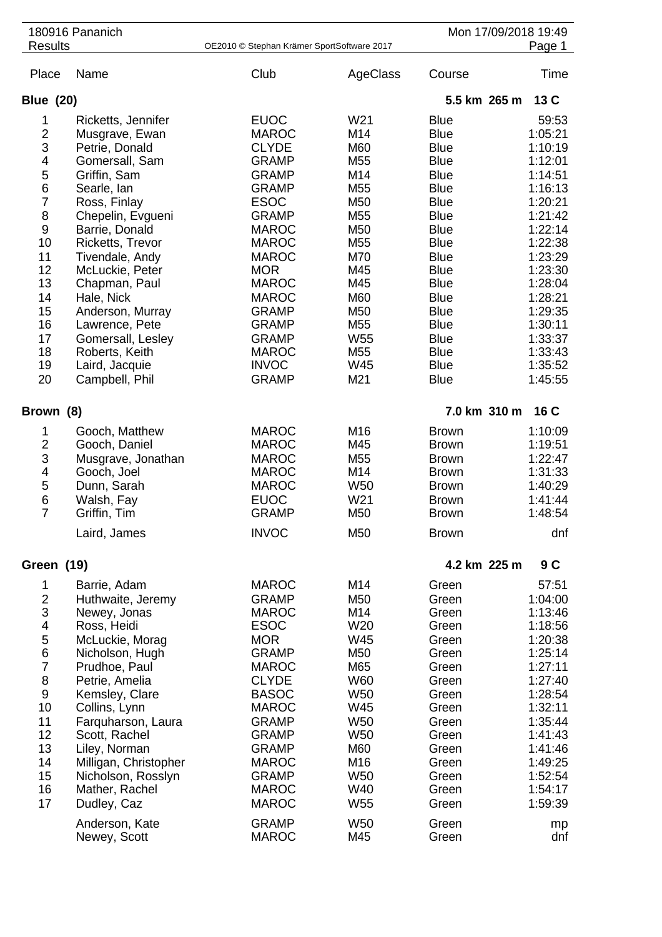|                  | 180916 Pananich                  |                                            |                                    |                            | Mon 17/09/2018 19:49 |
|------------------|----------------------------------|--------------------------------------------|------------------------------------|----------------------------|----------------------|
| <b>Results</b>   |                                  | OE2010 © Stephan Krämer SportSoftware 2017 |                                    |                            | Page 1               |
| Place            | Name                             | Club                                       | AgeClass                           | Course                     | Time                 |
| <b>Blue (20)</b> |                                  |                                            |                                    | 5.5 km 265 m               | 13C                  |
| 1                | Ricketts, Jennifer               | <b>EUOC</b>                                | W21                                | <b>Blue</b>                | 59:53                |
| $\overline{c}$   | Musgrave, Ewan                   | <b>MAROC</b>                               | M14                                | <b>Blue</b>                | 1:05:21              |
| 3                | Petrie, Donald                   | <b>CLYDE</b>                               | M60                                | <b>Blue</b>                | 1:10:19              |
| 4                | Gomersall, Sam                   | <b>GRAMP</b>                               | M55                                | <b>Blue</b>                | 1:12:01              |
| 5                | Griffin, Sam                     | <b>GRAMP</b>                               | M14                                | <b>Blue</b>                | 1:14:51              |
| 6                | Searle, lan                      | <b>GRAMP</b>                               | M <sub>55</sub>                    | <b>Blue</b>                | 1:16:13              |
| $\overline{7}$   | Ross, Finlay                     | <b>ESOC</b>                                | M50                                | <b>Blue</b>                | 1:20:21              |
| 8                | Chepelin, Evgueni                | <b>GRAMP</b>                               | M55                                | <b>Blue</b>                | 1:21:42              |
| 9                | Barrie, Donald                   | <b>MAROC</b>                               | M50                                | <b>Blue</b>                | 1:22:14              |
| 10               | <b>Ricketts, Trevor</b>          | <b>MAROC</b>                               | M55                                | <b>Blue</b>                | 1:22:38              |
| 11               | Tivendale, Andy                  | <b>MAROC</b>                               | M70                                | <b>Blue</b>                | 1:23:29              |
| 12               | McLuckie, Peter                  | <b>MOR</b>                                 | M45                                | <b>Blue</b>                | 1:23:30              |
| 13               | Chapman, Paul                    | <b>MAROC</b>                               | M45                                | <b>Blue</b>                | 1:28:04              |
| 14               | Hale, Nick                       | <b>MAROC</b>                               | M60                                | <b>Blue</b>                | 1:28:21              |
| 15               | Anderson, Murray                 | <b>GRAMP</b>                               | M50                                | <b>Blue</b>                | 1:29:35              |
| 16               | Lawrence, Pete                   | <b>GRAMP</b>                               | M <sub>55</sub>                    | <b>Blue</b>                | 1:30:11              |
| 17               | Gomersall, Lesley                | <b>GRAMP</b><br><b>MAROC</b>               | W <sub>55</sub><br>M <sub>55</sub> | <b>Blue</b><br><b>Blue</b> | 1:33:37              |
| 18<br>19         | Roberts, Keith                   | <b>INVOC</b>                               | W45                                | <b>Blue</b>                | 1:33:43<br>1:35:52   |
| 20               | Laird, Jacquie<br>Campbell, Phil | <b>GRAMP</b>                               | M21                                | <b>Blue</b>                | 1:45:55              |
|                  |                                  |                                            |                                    |                            |                      |
| Brown (8)        |                                  |                                            |                                    | 7.0 km 310 m               | 16 C                 |
| 1                | Gooch, Matthew                   | <b>MAROC</b>                               | M16                                | <b>Brown</b>               | 1:10:09              |
| $\overline{2}$   | Gooch, Daniel                    | <b>MAROC</b>                               | M45                                | <b>Brown</b>               | 1:19:51              |
| 3                | Musgrave, Jonathan               | <b>MAROC</b>                               | M <sub>55</sub>                    | <b>Brown</b>               | 1:22:47              |
| 4                | Gooch, Joel                      | <b>MAROC</b>                               | M14                                | <b>Brown</b>               | 1:31:33              |
| 5                | Dunn, Sarah                      | <b>MAROC</b>                               | W <sub>50</sub>                    | <b>Brown</b>               | 1:40:29              |
| 6                | Walsh, Fay                       | <b>EUOC</b>                                | W21                                | <b>Brown</b>               | 1:41:44              |
| $\overline{7}$   | Griffin, Tim                     | <b>GRAMP</b>                               | M50                                | <b>Brown</b>               | 1:48:54              |
|                  | Laird, James                     | <b>INVOC</b>                               | M50                                | <b>Brown</b>               | dnf                  |
| Green (19)       |                                  |                                            |                                    | 4.2 km 225 m               | 9 C                  |
| 1                | Barrie, Adam                     | <b>MAROC</b>                               | M14                                | Green                      | 57:51                |
| $\overline{2}$   | Huthwaite, Jeremy                | <b>GRAMP</b>                               | M50                                | Green                      | 1:04:00              |
| 3                | Newey, Jonas                     | <b>MAROC</b>                               | M14                                | Green                      | 1:13:46              |
| 4                | Ross, Heidi                      | <b>ESOC</b>                                | W <sub>20</sub>                    | Green                      | 1:18:56              |
| 5                | McLuckie, Morag                  | <b>MOR</b>                                 | W45                                | Green                      | 1:20:38              |
| 6<br>7           | Nicholson, Hugh                  | <b>GRAMP</b><br><b>MAROC</b>               | M50<br>M65                         | Green<br>Green             | 1:25:14<br>1:27:11   |
| 8                | Prudhoe, Paul<br>Petrie, Amelia  | <b>CLYDE</b>                               | <b>W60</b>                         | Green                      | 1:27:40              |
| 9                | Kemsley, Clare                   | <b>BASOC</b>                               | <b>W50</b>                         | Green                      | 1:28:54              |
| 10               | Collins, Lynn                    | <b>MAROC</b>                               | W45                                | Green                      | 1:32:11              |
| 11               | Farquharson, Laura               | <b>GRAMP</b>                               | <b>W50</b>                         | Green                      | 1:35:44              |
| 12               | Scott, Rachel                    | <b>GRAMP</b>                               | <b>W50</b>                         | Green                      | 1:41:43              |
| 13               | Liley, Norman                    | <b>GRAMP</b>                               | M60                                | Green                      | 1:41:46              |
| 14               | Milligan, Christopher            | <b>MAROC</b>                               | M16                                | Green                      | 1:49:25              |
| 15               | Nicholson, Rosslyn               | <b>GRAMP</b>                               | W <sub>50</sub>                    | Green                      | 1:52:54              |
| 16               | Mather, Rachel                   | <b>MAROC</b>                               | W40                                | Green                      | 1:54:17              |
| 17               | Dudley, Caz                      | <b>MAROC</b>                               | W <sub>55</sub>                    | Green                      | 1:59:39              |
|                  | Anderson, Kate                   | <b>GRAMP</b>                               | <b>W50</b>                         | Green                      | mp                   |
|                  | Newey, Scott                     | <b>MAROC</b>                               | M45                                | Green                      | dnf                  |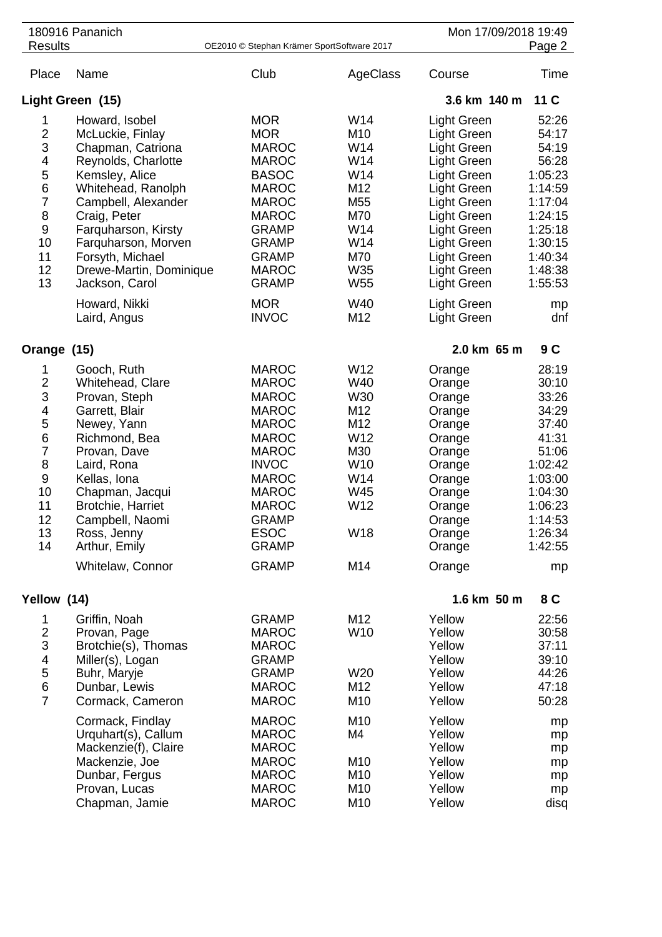| <b>Results</b>                                                                                                             | 180916 Pananich                                                                                                                                                                                                                                                                                               | OE2010 © Stephan Krämer SportSoftware 2017                                                                                                                                                                                                  |                                                                                                       | Mon 17/09/2018 19:49<br>Page 2                                                                                                                                                                                                                     |                                                                                                                                                  |  |
|----------------------------------------------------------------------------------------------------------------------------|---------------------------------------------------------------------------------------------------------------------------------------------------------------------------------------------------------------------------------------------------------------------------------------------------------------|---------------------------------------------------------------------------------------------------------------------------------------------------------------------------------------------------------------------------------------------|-------------------------------------------------------------------------------------------------------|----------------------------------------------------------------------------------------------------------------------------------------------------------------------------------------------------------------------------------------------------|--------------------------------------------------------------------------------------------------------------------------------------------------|--|
| Place                                                                                                                      | Name                                                                                                                                                                                                                                                                                                          | Club                                                                                                                                                                                                                                        | AgeClass                                                                                              | Course                                                                                                                                                                                                                                             | Time                                                                                                                                             |  |
|                                                                                                                            | Light Green (15)                                                                                                                                                                                                                                                                                              |                                                                                                                                                                                                                                             |                                                                                                       | 3.6 km 140 m<br>11 C                                                                                                                                                                                                                               |                                                                                                                                                  |  |
| 1<br>$\frac{2}{3}$<br>4<br>$\frac{5}{6}$<br>$\overline{7}$<br>8<br>$\boldsymbol{9}$<br>10<br>11<br>12<br>13                | Howard, Isobel<br>McLuckie, Finlay<br>Chapman, Catriona<br>Reynolds, Charlotte<br>Kemsley, Alice<br>Whitehead, Ranolph<br>Campbell, Alexander<br>Craig, Peter<br>Farquharson, Kirsty<br>Farquharson, Morven<br>Forsyth, Michael<br>Drewe-Martin, Dominique<br>Jackson, Carol<br>Howard, Nikki<br>Laird, Angus | <b>MOR</b><br><b>MOR</b><br><b>MAROC</b><br><b>MAROC</b><br><b>BASOC</b><br><b>MAROC</b><br><b>MAROC</b><br><b>MAROC</b><br><b>GRAMP</b><br><b>GRAMP</b><br><b>GRAMP</b><br><b>MAROC</b><br><b>GRAMP</b><br><b>MOR</b><br><b>INVOC</b>      | W14<br>M10<br>W14<br>W14<br>W14<br>M12<br>M55<br>M70<br>W14<br>W14<br>M70<br>W35<br>W55<br>W40<br>M12 | <b>Light Green</b><br>Light Green<br>Light Green<br>Light Green<br>Light Green<br>Light Green<br>Light Green<br>Light Green<br>Light Green<br>Light Green<br>Light Green<br>Light Green<br>Light Green<br><b>Light Green</b><br><b>Light Green</b> | 52:26<br>54:17<br>54:19<br>56:28<br>1:05:23<br>1:14:59<br>1:17:04<br>1:24:15<br>1:25:18<br>1:30:15<br>1:40:34<br>1:48:38<br>1:55:53<br>mp<br>dnf |  |
| Orange                                                                                                                     | (15)                                                                                                                                                                                                                                                                                                          |                                                                                                                                                                                                                                             |                                                                                                       | 2.0 km 65 m                                                                                                                                                                                                                                        | 9C                                                                                                                                               |  |
| 1<br>$\overline{c}$<br>3<br>4<br>5<br>$\,$ 6 $\,$<br>$\overline{7}$<br>8<br>$\boldsymbol{9}$<br>10<br>11<br>12<br>13<br>14 | Gooch, Ruth<br>Whitehead, Clare<br>Provan, Steph<br>Garrett, Blair<br>Newey, Yann<br>Richmond, Bea<br>Provan, Dave<br>Laird, Rona<br>Kellas, Iona<br>Chapman, Jacqui<br><b>Brotchie, Harriet</b><br>Campbell, Naomi<br>Ross, Jenny<br>Arthur, Emily<br>Whitelaw, Connor                                       | <b>MAROC</b><br><b>MAROC</b><br><b>MAROC</b><br><b>MAROC</b><br><b>MAROC</b><br><b>MAROC</b><br><b>MAROC</b><br><b>INVOC</b><br><b>MAROC</b><br><b>MAROC</b><br><b>MAROC</b><br><b>GRAMP</b><br><b>ESOC</b><br><b>GRAMP</b><br><b>GRAMP</b> | W12<br>W40<br>W30<br>M12<br>M12<br>W12<br>M30<br>W <sub>10</sub><br>W14<br>W45<br>W12<br>W18<br>M14   | Orange<br>Orange<br>Orange<br>Orange<br>Orange<br>Orange<br>Orange<br>Orange<br>Orange<br>Orange<br>Orange<br>Orange<br>Orange<br>Orange<br>Orange                                                                                                 | 28:19<br>30:10<br>33:26<br>34:29<br>37:40<br>41:31<br>51:06<br>1:02:42<br>1:03:00<br>1:04:30<br>1:06:23<br>1:14:53<br>1:26:34<br>1:42:55<br>mp   |  |
| Yellow (14)                                                                                                                |                                                                                                                                                                                                                                                                                                               |                                                                                                                                                                                                                                             |                                                                                                       | 1.6 km 50 m                                                                                                                                                                                                                                        | 8 C                                                                                                                                              |  |
| 1<br>$\overline{2}$<br>3<br>$\overline{4}$<br>5<br>6<br>$\overline{7}$                                                     | Griffin, Noah<br>Provan, Page<br>Brotchie(s), Thomas<br>Miller(s), Logan<br>Buhr, Maryje<br>Dunbar, Lewis<br>Cormack, Cameron<br>Cormack, Findlay<br>Urquhart(s), Callum<br>Mackenzie(f), Claire<br>Mackenzie, Joe<br>Dunbar, Fergus<br>Provan, Lucas<br>Chapman, Jamie                                       | <b>GRAMP</b><br><b>MAROC</b><br><b>MAROC</b><br><b>GRAMP</b><br><b>GRAMP</b><br><b>MAROC</b><br><b>MAROC</b><br><b>MAROC</b><br><b>MAROC</b><br><b>MAROC</b><br><b>MAROC</b><br><b>MAROC</b><br><b>MAROC</b><br><b>MAROC</b>                | M12<br>W10<br>W20<br>M12<br>M10<br>M <sub>10</sub><br>M4<br>M10<br>M10<br>M10<br>M10                  | Yellow<br>Yellow<br>Yellow<br>Yellow<br>Yellow<br>Yellow<br>Yellow<br>Yellow<br>Yellow<br>Yellow<br>Yellow<br>Yellow<br>Yellow<br>Yellow                                                                                                           | 22:56<br>30:58<br>37:11<br>39:10<br>44:26<br>47:18<br>50:28<br>mp<br>mp<br>mp<br>mp<br>mp<br>mp<br>disq                                          |  |